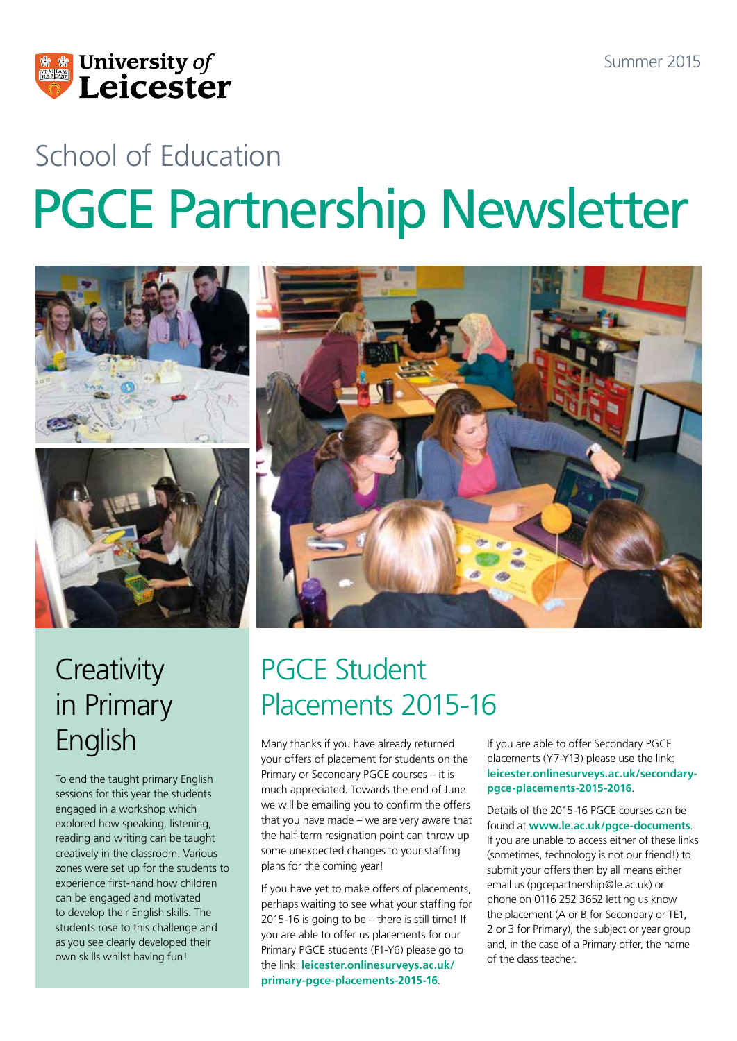

# School of Education PGCE Partnership Newsletter



### **Creativity** in Primary English

To end the taught primary English sessions for this year the students engaged in a workshop which explored how speaking, listening, reading and writing can be taught creatively in the classroom. Various zones were set up for the students to experience first-hand how children can be engaged and motivated to develop their English skills. The students rose to this challenge and as you see clearly developed their own skills whilst having fun!

### PGCE Student Placements 2015-16

Many thanks if you have already returned your offers of placement for students on the Primary or Secondary PGCE courses – it is much appreciated. Towards the end of June we will be emailing you to confirm the offers that you have made – we are very aware that the half-term resignation point can throw up some unexpected changes to your staffing plans for the coming year!

If you have yet to make offers of placements, perhaps waiting to see what your staffing for 2015-16 is going to be – there is still time! If you are able to offer us placements for our Primary PGCE students (F1-Y6) please go to the link: **[leicester.onlinesurveys.ac.uk/](leicester.onlinesurveys.ac.uk/primary-pgce-placements-2015-16) [primary-pgce-placements-2015-16](leicester.onlinesurveys.ac.uk/primary-pgce-placements-2015-16)**.

If you are able to offer Secondary PGCE placements (Y7-Y13) please use the link: **[leicester.onlinesurveys.ac.uk/secondary](leicester.onlinesurveys.ac.uk/secondary-pgce-placements-2015-2016)[pgce-placements-2015-2016](leicester.onlinesurveys.ac.uk/secondary-pgce-placements-2015-2016)**.

Details of the 2015-16 PGCE courses can be found at **www.le.ac.uk/pgce-documents**. If you are unable to access either of these links (sometimes, technology is not our friend!) to submit your offers then by all means either email us (pgcepartnership@le.ac.uk) or phone on 0116 252 3652 letting us know the placement (A or B for Secondary or TE1, 2 or 3 for Primary), the subject or year group and, in the case of a Primary offer, the name of the class teacher.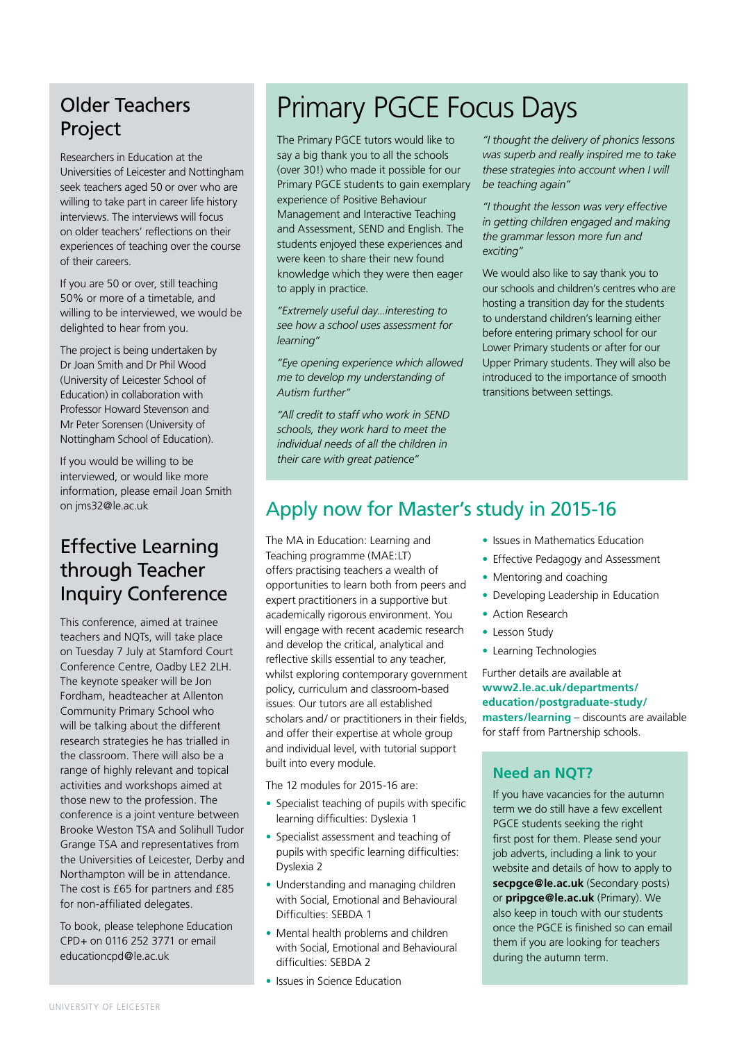#### Older Teachers **Project**

Researchers in Education at the Universities of Leicester and Nottingham seek teachers aged 50 or over who are willing to take part in career life history interviews. The interviews will focus on older teachers' reflections on their experiences of teaching over the course of their careers.

If you are 50 or over, still teaching 50% or more of a timetable, and willing to be interviewed, we would be delighted to hear from you.

The project is being undertaken by Dr Joan Smith and Dr Phil Wood (University of Leicester School of Education) in collaboration with Professor Howard Stevenson and Mr Peter Sorensen (University of Nottingham School of Education).

If you would be willing to be interviewed, or would like more information, please email Joan Smith on jms32@le.ac.uk

#### Effective Learning through Teacher Inquiry Conference

This conference, aimed at trainee teachers and NQTs, will take place on Tuesday 7 July at Stamford Court Conference Centre, Oadby LE2 2LH. The keynote speaker will be Jon Fordham, headteacher at Allenton Community Primary School who will be talking about the different research strategies he has trialled in the classroom. There will also be a range of highly relevant and topical activities and workshops aimed at those new to the profession. The conference is a joint venture between Brooke Weston TSA and Solihull Tudor Grange TSA and representatives from the Universities of Leicester, Derby and Northampton will be in attendance. The cost is £65 for partners and £85 for non-affiliated delegates.

To book, please telephone Education CPD+ on 0116 252 3771 or email educationcpd@le.ac.uk

#### Primary PGCE Focus Days

The Primary PGCE tutors would like to say a big thank you to all the schools (over 30!) who made it possible for our Primary PGCE students to gain exemplary experience of Positive Behaviour Management and Interactive Teaching and Assessment, SEND and English. The students enjoyed these experiences and were keen to share their new found knowledge which they were then eager to apply in practice.

*"Extremely useful day...interesting to see how a school uses assessment for learning"*

*"Eye opening experience which allowed me to develop my understanding of Autism further"*

*"All credit to staff who work in SEND schools, they work hard to meet the individual needs of all the children in their care with great patience"*

*"I thought the delivery of phonics lessons was superb and really inspired me to take these strategies into account when I will be teaching again"*

*"I thought the lesson was very effective in getting children engaged and making the grammar lesson more fun and exciting"*

We would also like to say thank you to our schools and children's centres who are hosting a transition day for the students to understand children's learning either before entering primary school for our Lower Primary students or after for our Upper Primary students. They will also be introduced to the importance of smooth transitions between settings.

#### Apply now for Master's study in 2015-16

The MA in Education: Learning and Teaching programme (MAE:LT) offers practising teachers a wealth of opportunities to learn both from peers and expert practitioners in a supportive but academically rigorous environment. You will engage with recent academic research and develop the critical, analytical and reflective skills essential to any teacher, whilst exploring contemporary government policy, curriculum and classroom-based issues. Our tutors are all established scholars and/ or practitioners in their fields, and offer their expertise at whole group and individual level, with tutorial support built into every module.

The 12 modules for 2015-16 are:

- Specialist teaching of pupils with specific learning difficulties: Dyslexia 1
- Specialist assessment and teaching of pupils with specific learning difficulties: Dyslexia 2
- Understanding and managing children with Social, Emotional and Behavioural Difficulties: SEBDA 1
- Mental health problems and children with Social, Emotional and Behavioural difficulties: SEBDA 2
- Issues in Science Education
- Issues in Mathematics Education
- Effective Pedagogy and Assessment
- Mentoring and coaching
- Developing Leadership in Education
- Action Research
- Lesson Study
- Learning Technologies

Further details are available at **[www2.le.ac.uk/departments/](www2.le.ac.uk/departments/education/postgraduate-study/masters/learning) [education/postgraduate-study/](www2.le.ac.uk/departments/education/postgraduate-study/masters/learning) [masters/learning](www2.le.ac.uk/departments/education/postgraduate-study/masters/learning)** – discounts are available for staff from Partnership schools.

#### **Need an NQT?**

If you have vacancies for the autumn term we do still have a few excellent PGCE students seeking the right first post for them. Please send your job adverts, including a link to your website and details of how to apply to **secpgce@le.ac.uk** (Secondary posts) or **pripgce@le.ac.uk** (Primary). We also keep in touch with our students once the PGCE is finished so can email them if you are looking for teachers during the autumn term.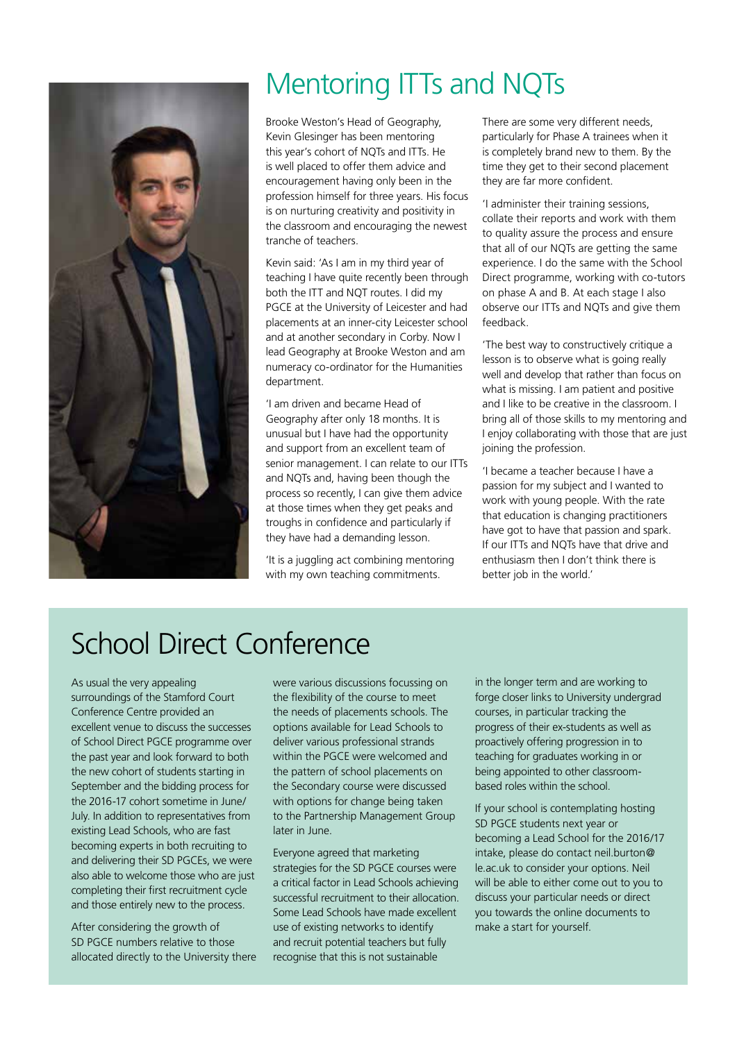

### Mentoring ITTs and NQTs

Brooke Weston's Head of Geography, Kevin Glesinger has been mentoring this year's cohort of NQTs and ITTs. He is well placed to offer them advice and encouragement having only been in the profession himself for three years. His focus is on nurturing creativity and positivity in the classroom and encouraging the newest tranche of teachers.

Kevin said: 'As I am in my third year of teaching I have quite recently been through both the ITT and NQT routes. I did my PGCE at the University of Leicester and had placements at an inner-city Leicester school and at another secondary in Corby. Now I lead Geography at Brooke Weston and am numeracy co-ordinator for the Humanities department.

'I am driven and became Head of Geography after only 18 months. It is unusual but I have had the opportunity and support from an excellent team of senior management. I can relate to our ITTs and NQTs and, having been though the process so recently, I can give them advice at those times when they get peaks and troughs in confidence and particularly if they have had a demanding lesson.

'It is a juggling act combining mentoring with my own teaching commitments.

There are some very different needs, particularly for Phase A trainees when it is completely brand new to them. By the time they get to their second placement they are far more confident.

'I administer their training sessions, collate their reports and work with them to quality assure the process and ensure that all of our NQTs are getting the same experience. I do the same with the School Direct programme, working with co-tutors on phase A and B. At each stage I also observe our ITTs and NQTs and give them feedback.

'The best way to constructively critique a lesson is to observe what is going really well and develop that rather than focus on what is missing. I am patient and positive and I like to be creative in the classroom. I bring all of those skills to my mentoring and I enjoy collaborating with those that are just joining the profession.

'I became a teacher because I have a passion for my subject and I wanted to work with young people. With the rate that education is changing practitioners have got to have that passion and spark. If our ITTs and NQTs have that drive and enthusiasm then I don't think there is better job in the world.'

#### School Direct Conference

As usual the very appealing surroundings of the Stamford Court Conference Centre provided an excellent venue to discuss the successes of School Direct PGCE programme over the past year and look forward to both the new cohort of students starting in September and the bidding process for the 2016-17 cohort sometime in June/ July. In addition to representatives from existing Lead Schools, who are fast becoming experts in both recruiting to and delivering their SD PGCEs, we were also able to welcome those who are just completing their first recruitment cycle and those entirely new to the process.

After considering the growth of SD PGCE numbers relative to those allocated directly to the University there were various discussions focussing on the flexibility of the course to meet the needs of placements schools. The options available for Lead Schools to deliver various professional strands within the PGCE were welcomed and the pattern of school placements on the Secondary course were discussed with options for change being taken to the Partnership Management Group later in June.

Everyone agreed that marketing strategies for the SD PGCE courses were a critical factor in Lead Schools achieving successful recruitment to their allocation. Some Lead Schools have made excellent use of existing networks to identify and recruit potential teachers but fully recognise that this is not sustainable

in the longer term and are working to forge closer links to University undergrad courses, in particular tracking the progress of their ex-students as well as proactively offering progression in to teaching for graduates working in or being appointed to other classroombased roles within the school.

If your school is contemplating hosting SD PGCE students next year or becoming a Lead School for the 2016/17 intake, please do contact neil.burton@ le.ac.uk to consider your options. Neil will be able to either come out to you to discuss your particular needs or direct you towards the online documents to make a start for yourself.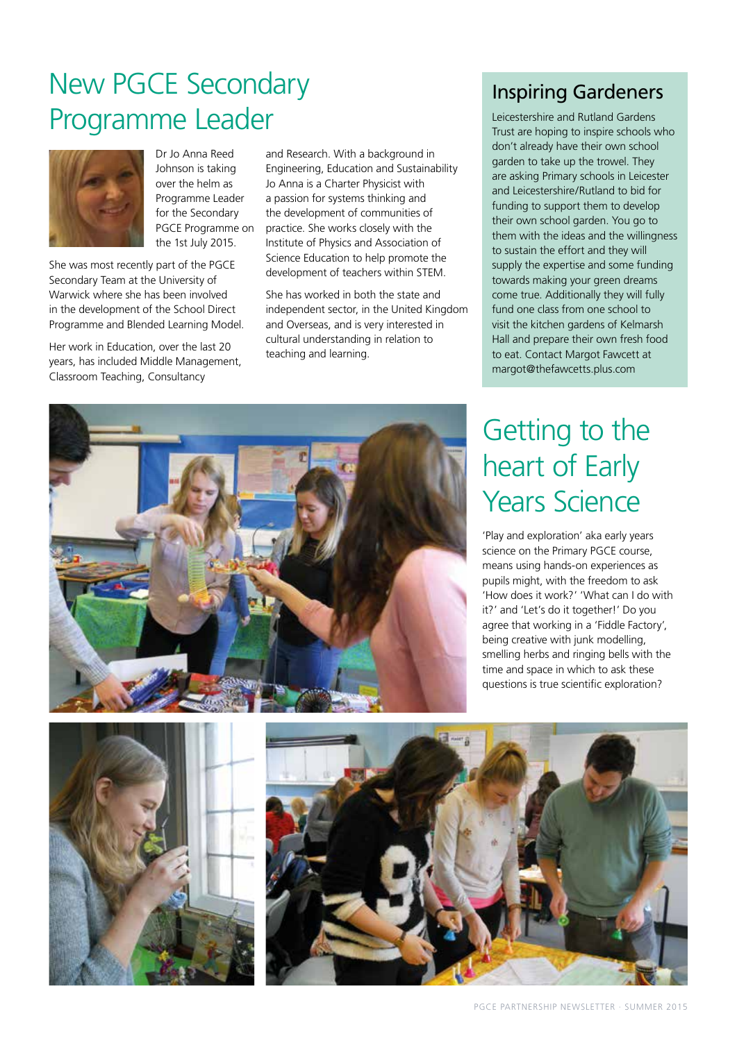### New PGCE Secondary Programme Leader



Dr Jo Anna Reed Johnson is taking over the helm as Programme Leader for the Secondary PGCE Programme on the 1st July 2015.

She was most recently part of the PGCE Secondary Team at the University of Warwick where she has been involved in the development of the School Direct Programme and Blended Learning Model.

Her work in Education, over the last 20 years, has included Middle Management, Classroom Teaching, Consultancy

and Research. With a background in Engineering, Education and Sustainability Jo Anna is a Charter Physicist with a passion for systems thinking and the development of communities of practice. She works closely with the Institute of Physics and Association of Science Education to help promote the development of teachers within STEM.

She has worked in both the state and independent sector, in the United Kingdom and Overseas, and is very interested in cultural understanding in relation to teaching and learning.

#### Inspiring Gardeners

[Leicestershire and Rutland Gardens](http://www.lrgt.org/education_8.html)  [Trust](http://www.lrgt.org/education_8.html) are hoping to inspire schools who don't already have their own school garden to take up the trowel. They are asking Primary schools in Leicester and Leicestershire/Rutland to bid for funding to support them to develop their own school garden. You go to them with the ideas and the willingness to sustain the effort and they will supply the expertise and some funding towards making your green dreams come true. Additionally they will fully fund one class from one school to visit the kitchen gardens of [Kelmarsh](http://www.kelmarsh.com/VisitUs/SchoolVisits.aspx)  [Hall](http://www.kelmarsh.com/VisitUs/SchoolVisits.aspx) and prepare their own fresh food to eat. Contact Margot Fawcett at margot@thefawcetts.plus.com

### Getting to the heart of Early Years Science

'Play and exploration' aka early years science on the Primary PGCE course, means using hands-on experiences as pupils might, with the freedom to ask 'How does it work?' 'What can I do with it?' and 'Let's do it together!' Do you agree that working in a 'Fiddle Factory', being creative with junk modelling, smelling herbs and ringing bells with the time and space in which to ask these questions is true scientific exploration?





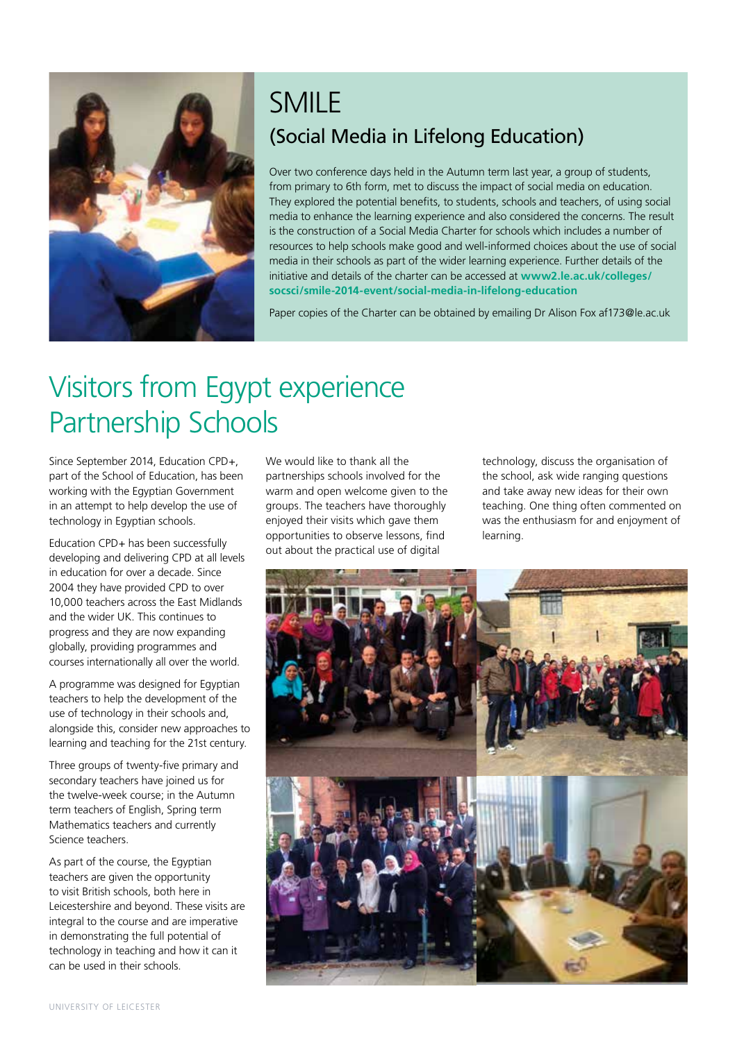

#### SMILE (Social Media in Lifelong Education)

Over two conference days held in the Autumn term last year, a group of students, from primary to 6th form, met to discuss the impact of social media on education. They explored the potential benefits, to students, schools and teachers, of using social media to enhance the learning experience and also considered the concerns. The result is the construction of a Social Media Charter for schools which includes a number of resources to help schools make good and well-informed choices about the use of social media in their schools as part of the wider learning experience. Further details of the initiative and details of the charter can be accessed at **[www2.le.ac.uk/colleges/](www2.le.ac.uk/colleges/socsci/smile-2014-event/social-media-in-lifelong-education) [socsci/smile-2014-event/social-media-in-lifelong-education](www2.le.ac.uk/colleges/socsci/smile-2014-event/social-media-in-lifelong-education)**

Paper copies of the Charter can be obtained by emailing Dr Alison Fox af173@le.ac.uk

### Visitors from Egypt experience Partnership Schools

Since September 2014, Education CPD+, part of the School of Education, has been working with the Egyptian Government in an attempt to help develop the use of technology in Egyptian schools.

Education CPD+ has been successfully developing and delivering CPD at all levels in education for over a decade. Since 2004 they have provided CPD to over 10,000 teachers across the East Midlands and the wider UK. This continues to progress and they are now expanding globally, providing programmes and courses internationally all over the world.

A programme was designed for Egyptian teachers to help the development of the use of technology in their schools and, alongside this, consider new approaches to learning and teaching for the 21st century.

Three groups of twenty-five primary and secondary teachers have joined us for the twelve-week course; in the Autumn term teachers of English, Spring term Mathematics teachers and currently Science teachers.

As part of the course, the Egyptian teachers are given the opportunity to visit British schools, both here in Leicestershire and beyond. These visits are integral to the course and are imperative in demonstrating the full potential of technology in teaching and how it can it can be used in their schools.

We would like to thank all the partnerships schools involved for the warm and open welcome given to the groups. The teachers have thoroughly enjoyed their visits which gave them opportunities to observe lessons, find out about the practical use of digital

technology, discuss the organisation of the school, ask wide ranging questions and take away new ideas for their own teaching. One thing often commented on was the enthusiasm for and enjoyment of learning.